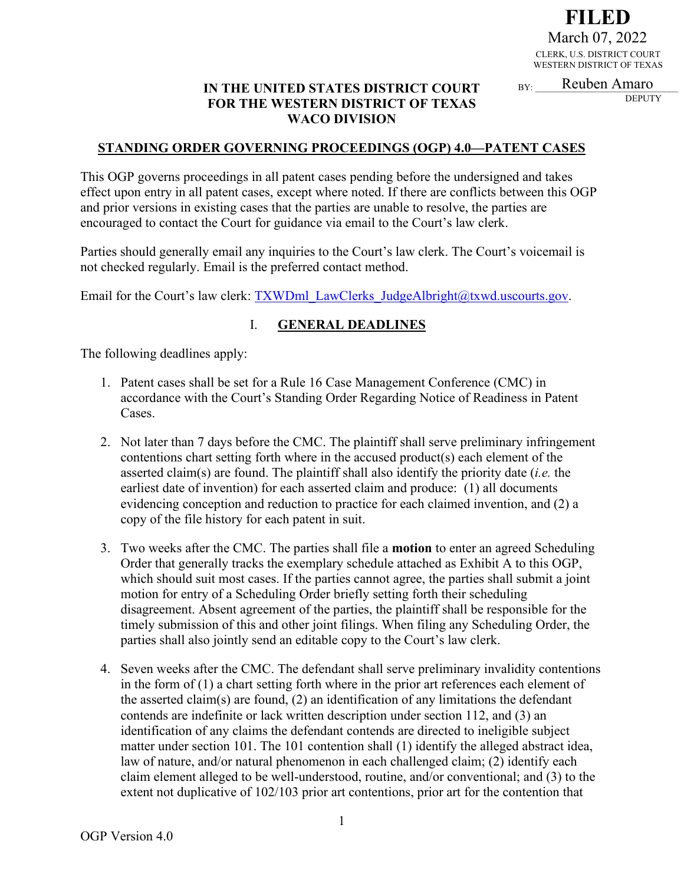**FILED** CLERK, U.S. DISTRICT COURT WESTERN DISTRICT OF TEXAS March 07, 2022<br>CLERK, U.S. DISTRICT COUR<br>WESTERN DISTRICT OF TEXA<br>BY: Reuben Amaro

**DEPUTY** 

#### **IN THE UNITED STATES DISTRICT COURT FOR THE WESTERN DISTRICT OF TEXAS WACO DIVISION**

#### **STANDING ORDER GOVERNING PROCEEDINGS (OGP) 4.0—PATENT CASES**

This OGP governs proceedings in all patent cases pending before the undersigned and takes effect upon entry in all patent cases, except where noted. If there are conflicts between this OGP and prior versions in existing cases that the parties are unable to resolve, the parties are encouraged to contact the Court for guidance via email to the Court's law clerk.

Parties should generally email any inquiries to the Court's law clerk. The Court's voicemail is not checked regularly. Email is the preferred contact method.

Email for the Court's law clerk: TXWDml\_LawClerks\_JudgeAlbright@txwd.uscourts.gov.

#### I. **GENERAL DEADLINES**

The following deadlines apply:

- 1. Patent cases shall be set for a Rule 16 Case Management Conference (CMC) in accordance with the Court's Standing Order Regarding Notice of Readiness in Patent Cases.
- 2. Not later than 7 days before the CMC. The plaintiff shall serve preliminary infringement contentions chart setting forth where in the accused product(s) each element of the asserted claim(s) are found. The plaintiff shall also identify the priority date (*i.e.* the earliest date of invention) for each asserted claim and produce: (1) all documents evidencing conception and reduction to practice for each claimed invention, and (2) a copy of the file history for each patent in suit.
- 3. Two weeks after the CMC. The parties shall file a **motion** to enter an agreed Scheduling Order that generally tracks the exemplary schedule attached as Exhibit A to this OGP, which should suit most cases. If the parties cannot agree, the parties shall submit a joint motion for entry of a Scheduling Order briefly setting forth their scheduling disagreement. Absent agreement of the parties, the plaintiff shall be responsible for the timely submission of this and other joint filings. When filing any Scheduling Order, the parties shall also jointly send an editable copy to the Court's law clerk.
- 4. Seven weeks after the CMC. The defendant shall serve preliminary invalidity contentions in the form of (1) a chart setting forth where in the prior art references each element of the asserted claim(s) are found, (2) an identification of any limitations the defendant contends are indefinite or lack written description under section 112, and (3) an identification of any claims the defendant contends are directed to ineligible subject matter under section 101. The 101 contention shall (1) identify the alleged abstract idea, law of nature, and/or natural phenomenon in each challenged claim; (2) identify each claim element alleged to be well-understood, routine, and/or conventional; and (3) to the extent not duplicative of 102/103 prior art contentions, prior art for the contention that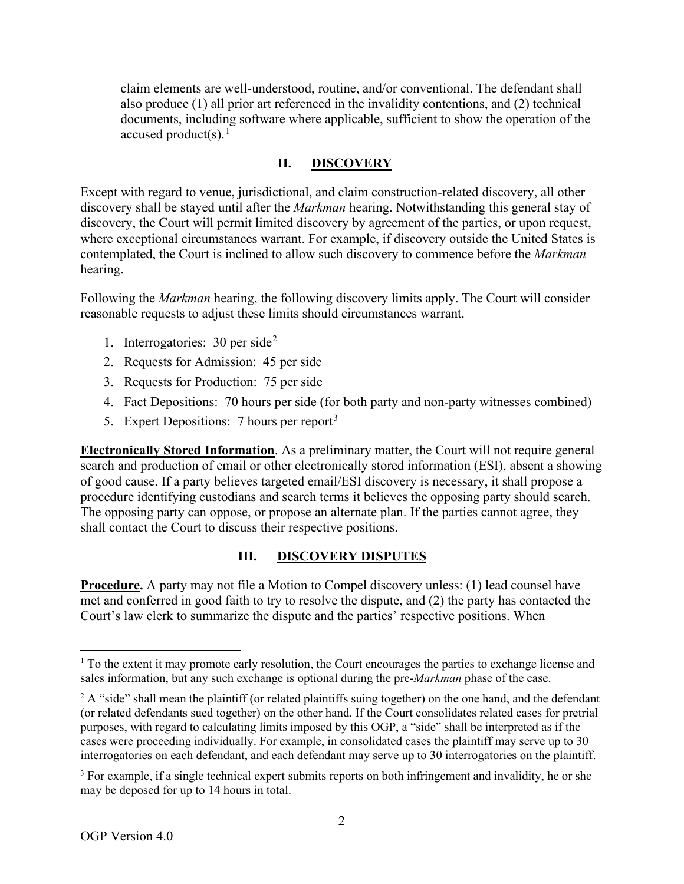claim elements are well-understood, routine, and/or conventional. The defendant shall also produce (1) all prior art referenced in the invalidity contentions, and (2) technical documents, including software where applicable, sufficient to show the operation of the accused product(s). 1

#### **II. DISCOVERY**

Except with regard to venue, jurisdictional, and claim construction-related discovery, all other discovery shall be stayed until after the *Markman* hearing. Notwithstanding this general stay of discovery, the Court will permit limited discovery by agreement of the parties, or upon request, where exceptional circumstances warrant. For example, if discovery outside the United States is contemplated, the Court is inclined to allow such discovery to commence before the *Markman* hearing.

Following the *Markman* hearing, the following discovery limits apply. The Court will consider reasonable requests to adjust these limits should circumstances warrant.

- 1. Interrogatories:  $30$  per side<sup>2</sup>
- 2. Requests for Admission: 45 per side
- 3. Requests for Production: 75 per side
- 4. Fact Depositions: 70 hours per side (for both party and non-party witnesses combined)
- 5. Expert Depositions: 7 hours per report<sup>3</sup>

**Electronically Stored Information**. As a preliminary matter, the Court will not require general search and production of email or other electronically stored information (ESI), absent a showing of good cause. If a party believes targeted email/ESI discovery is necessary, it shall propose a procedure identifying custodians and search terms it believes the opposing party should search. The opposing party can oppose, or propose an alternate plan. If the parties cannot agree, they shall contact the Court to discuss their respective positions.

#### **III. DISCOVERY DISPUTES**

**Procedure.** A party may not file a Motion to Compel discovery unless: (1) lead counsel have met and conferred in good faith to try to resolve the dispute, and (2) the party has contacted the Court's law clerk to summarize the dispute and the parties' respective positions. When

<sup>&</sup>lt;sup>1</sup> To the extent it may promote early resolution, the Court encourages the parties to exchange license and sales information, but any such exchange is optional during the pre-*Markman* phase of the case.

 $2$  A "side" shall mean the plaintiff (or related plaintiffs suing together) on the one hand, and the defendant (or related defendants sued together) on the other hand. If the Court consolidates related cases for pretrial purposes, with regard to calculating limits imposed by this OGP, a "side" shall be interpreted as if the cases were proceeding individually. For example, in consolidated cases the plaintiff may serve up to 30 interrogatories on each defendant, and each defendant may serve up to 30 interrogatories on the plaintiff.

<sup>&</sup>lt;sup>3</sup> For example, if a single technical expert submits reports on both infringement and invalidity, he or she may be deposed for up to 14 hours in total.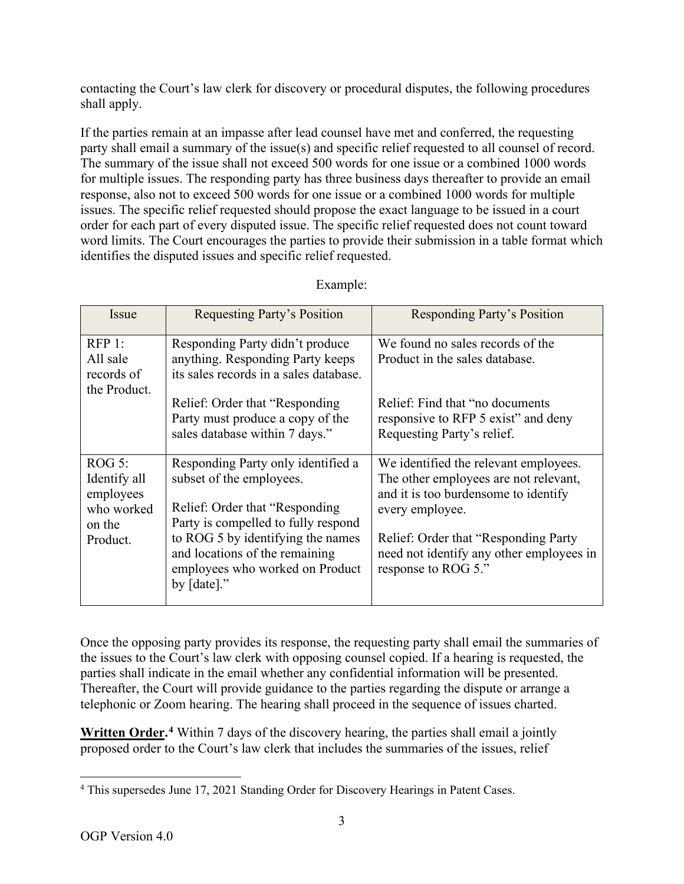contacting the Court's law clerk for discovery or procedural disputes, the following procedures shall apply.

If the parties remain at an impasse after lead counsel have met and conferred, the requesting party shall email a summary of the issue(s) and specific relief requested to all counsel of record. The summary of the issue shall not exceed 500 words for one issue or a combined 1000 words for multiple issues. The responding party has three business days thereafter to provide an email response, also not to exceed 500 words for one issue or a combined 1000 words for multiple issues. The specific relief requested should propose the exact language to be issued in a court order for each part of every disputed issue. The specific relief requested does not count toward word limits. The Court encourages the parties to provide their submission in a table format which identifies the disputed issues and specific relief requested.

| Issue                                                                   | Requesting Party's Position                                                                                                                                                                                                                                          | <b>Responding Party's Position</b>                                                                                                                                                                                                                    |
|-------------------------------------------------------------------------|----------------------------------------------------------------------------------------------------------------------------------------------------------------------------------------------------------------------------------------------------------------------|-------------------------------------------------------------------------------------------------------------------------------------------------------------------------------------------------------------------------------------------------------|
| RFP 1:<br>All sale<br>records of                                        | Responding Party didn't produce<br>anything. Responding Party keeps<br>its sales records in a sales database.                                                                                                                                                        | We found no sales records of the<br>Product in the sales database.                                                                                                                                                                                    |
| the Product.                                                            | Relief: Order that "Responding"<br>Party must produce a copy of the<br>sales database within 7 days."                                                                                                                                                                | Relief: Find that "no documents"<br>responsive to RFP 5 exist" and deny<br>Requesting Party's relief.                                                                                                                                                 |
| ROG 5:<br>Identify all<br>employees<br>who worked<br>on the<br>Product. | Responding Party only identified a<br>subset of the employees.<br>Relief: Order that "Responding"<br>Party is compelled to fully respond<br>to ROG 5 by identifying the names<br>and locations of the remaining<br>employees who worked on Product<br>by $[date]$ ." | We identified the relevant employees.<br>The other employees are not relevant,<br>and it is too burdensome to identify<br>every employee.<br>Relief: Order that "Responding Party"<br>need not identify any other employees in<br>response to ROG 5." |

### Example:

Once the opposing party provides its response, the requesting party shall email the summaries of the issues to the Court's law clerk with opposing counsel copied. If a hearing is requested, the parties shall indicate in the email whether any confidential information will be presented. Thereafter, the Court will provide guidance to the parties regarding the dispute or arrange a telephonic or Zoom hearing. The hearing shall proceed in the sequence of issues charted.

**Written Order. <sup>4</sup>** Within 7 days of the discovery hearing, the parties shall email a jointly proposed order to the Court's law clerk that includes the summaries of the issues, relief

<sup>&</sup>lt;sup>4</sup> This supersedes June 17, 2021 Standing Order for Discovery Hearings in Patent Cases.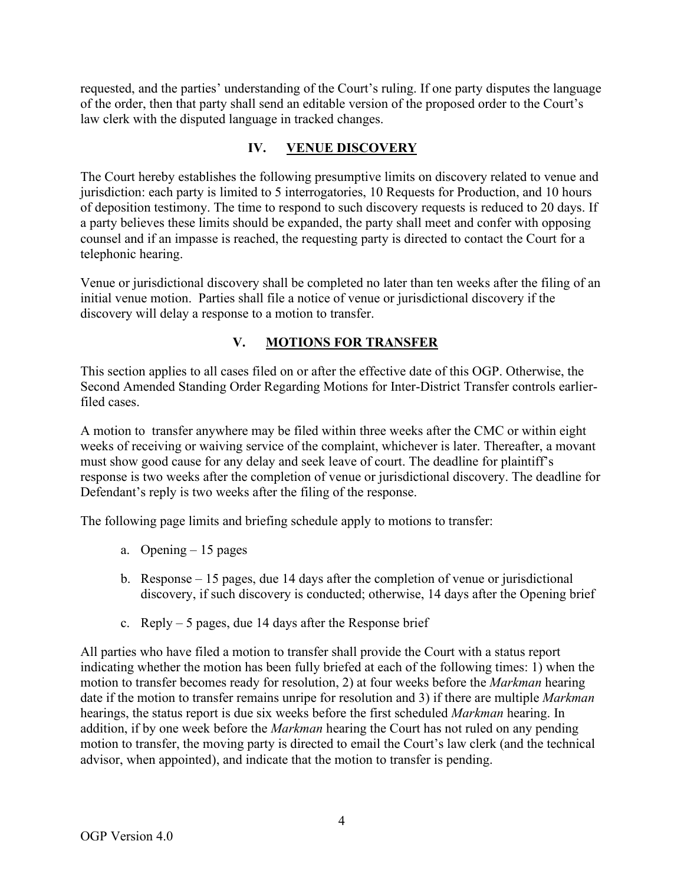requested, and the parties' understanding of the Court's ruling. If one party disputes the language of the order, then that party shall send an editable version of the proposed order to the Court's law clerk with the disputed language in tracked changes.

### **IV. VENUE DISCOVERY**

The Court hereby establishes the following presumptive limits on discovery related to venue and jurisdiction: each party is limited to 5 interrogatories, 10 Requests for Production, and 10 hours of deposition testimony. The time to respond to such discovery requests is reduced to 20 days. If a party believes these limits should be expanded, the party shall meet and confer with opposing counsel and if an impasse is reached, the requesting party is directed to contact the Court for a telephonic hearing.

Venue or jurisdictional discovery shall be completed no later than ten weeks after the filing of an initial venue motion. Parties shall file a notice of venue or jurisdictional discovery if the discovery will delay a response to a motion to transfer.

## **V. MOTIONS FOR TRANSFER**

This section applies to all cases filed on or after the effective date of this OGP. Otherwise, the Second Amended Standing Order Regarding Motions for Inter-District Transfer controls earlierfiled cases.

A motion to transfer anywhere may be filed within three weeks after the CMC or within eight weeks of receiving or waiving service of the complaint, whichever is later. Thereafter, a movant must show good cause for any delay and seek leave of court. The deadline for plaintiff's response is two weeks after the completion of venue or jurisdictional discovery. The deadline for Defendant's reply is two weeks after the filing of the response.

The following page limits and briefing schedule apply to motions to transfer:

- a. Opening 15 pages
- b. Response 15 pages, due 14 days after the completion of venue or jurisdictional discovery, if such discovery is conducted; otherwise, 14 days after the Opening brief
- c. Reply  $-5$  pages, due 14 days after the Response brief

All parties who have filed a motion to transfer shall provide the Court with a status report indicating whether the motion has been fully briefed at each of the following times: 1) when the motion to transfer becomes ready for resolution, 2) at four weeks before the *Markman* hearing date if the motion to transfer remains unripe for resolution and 3) if there are multiple *Markman* hearings, the status report is due six weeks before the first scheduled *Markman* hearing. In addition, if by one week before the *Markman* hearing the Court has not ruled on any pending motion to transfer, the moving party is directed to email the Court's law clerk (and the technical advisor, when appointed), and indicate that the motion to transfer is pending.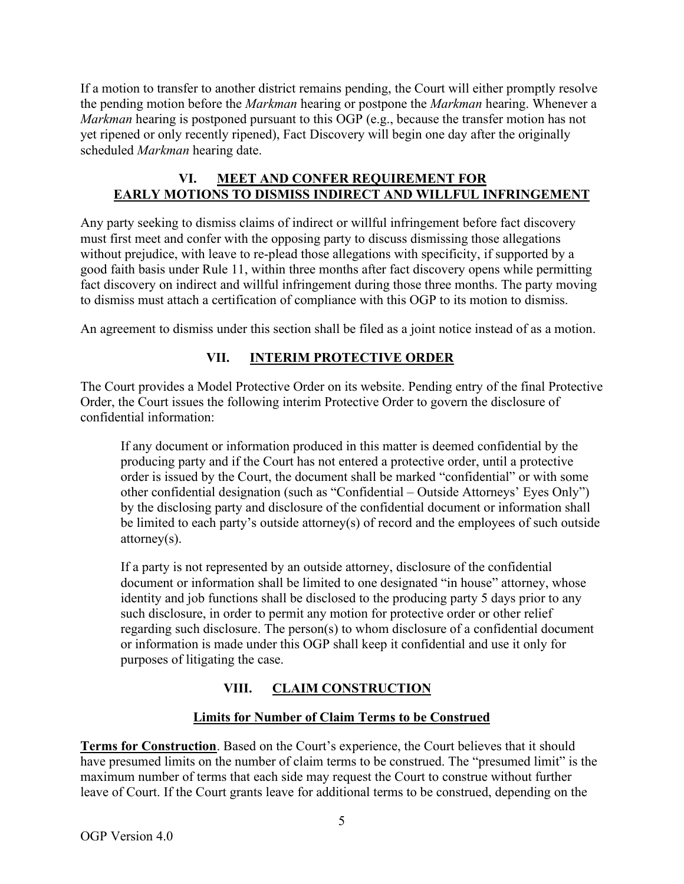If a motion to transfer to another district remains pending, the Court will either promptly resolve the pending motion before the *Markman* hearing or postpone the *Markman* hearing. Whenever a *Markman* hearing is postponed pursuant to this OGP (e.g., because the transfer motion has not yet ripened or only recently ripened), Fact Discovery will begin one day after the originally scheduled *Markman* hearing date.

### **VI. MEET AND CONFER REQUIREMENT FOR EARLY MOTIONS TO DISMISS INDIRECT AND WILLFUL INFRINGEMENT**

Any party seeking to dismiss claims of indirect or willful infringement before fact discovery must first meet and confer with the opposing party to discuss dismissing those allegations without prejudice, with leave to re-plead those allegations with specificity, if supported by a good faith basis under Rule 11, within three months after fact discovery opens while permitting fact discovery on indirect and willful infringement during those three months. The party moving to dismiss must attach a certification of compliance with this OGP to its motion to dismiss.

An agreement to dismiss under this section shall be filed as a joint notice instead of as a motion.

## **VII. INTERIM PROTECTIVE ORDER**

The Court provides a Model Protective Order on its website. Pending entry of the final Protective Order, the Court issues the following interim Protective Order to govern the disclosure of confidential information:

If any document or information produced in this matter is deemed confidential by the producing party and if the Court has not entered a protective order, until a protective order is issued by the Court, the document shall be marked "confidential" or with some other confidential designation (such as "Confidential – Outside Attorneys' Eyes Only") by the disclosing party and disclosure of the confidential document or information shall be limited to each party's outside attorney(s) of record and the employees of such outside attorney(s).

If a party is not represented by an outside attorney, disclosure of the confidential document or information shall be limited to one designated "in house" attorney, whose identity and job functions shall be disclosed to the producing party 5 days prior to any such disclosure, in order to permit any motion for protective order or other relief regarding such disclosure. The person(s) to whom disclosure of a confidential document or information is made under this OGP shall keep it confidential and use it only for purposes of litigating the case.

# **VIII. CLAIM CONSTRUCTION**

# **Limits for Number of Claim Terms to be Construed**

**Terms for Construction**. Based on the Court's experience, the Court believes that it should have presumed limits on the number of claim terms to be construed. The "presumed limit" is the maximum number of terms that each side may request the Court to construe without further leave of Court. If the Court grants leave for additional terms to be construed, depending on the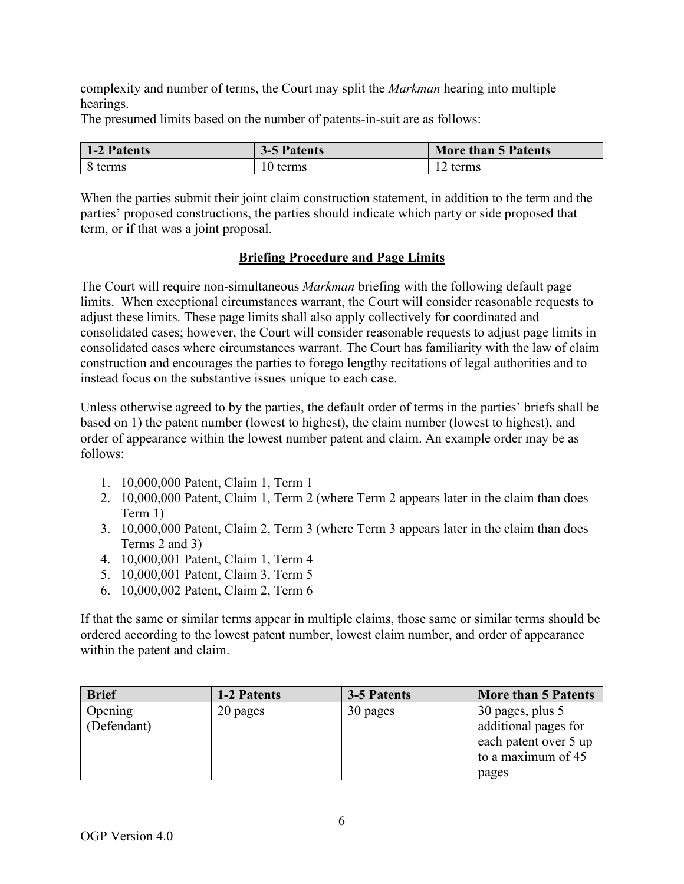complexity and number of terms, the Court may split the *Markman* hearing into multiple hearings.

The presumed limits based on the number of patents-in-suit are as follows:

| 1-2 Patents | 3-5 Patents | <b>More than 5 Patents</b> |
|-------------|-------------|----------------------------|
| 8 terms     | 10 terms    | $\gamma$ terms             |

When the parties submit their joint claim construction statement, in addition to the term and the parties' proposed constructions, the parties should indicate which party or side proposed that term, or if that was a joint proposal.

#### **Briefing Procedure and Page Limits**

The Court will require non-simultaneous *Markman* briefing with the following default page limits. When exceptional circumstances warrant, the Court will consider reasonable requests to adjust these limits. These page limits shall also apply collectively for coordinated and consolidated cases; however, the Court will consider reasonable requests to adjust page limits in consolidated cases where circumstances warrant. The Court has familiarity with the law of claim construction and encourages the parties to forego lengthy recitations of legal authorities and to instead focus on the substantive issues unique to each case.

Unless otherwise agreed to by the parties, the default order of terms in the parties' briefs shall be based on 1) the patent number (lowest to highest), the claim number (lowest to highest), and order of appearance within the lowest number patent and claim. An example order may be as follows:

- 1. 10,000,000 Patent, Claim 1, Term 1
- 2. 10,000,000 Patent, Claim 1, Term 2 (where Term 2 appears later in the claim than does Term 1)
- 3. 10,000,000 Patent, Claim 2, Term 3 (where Term 3 appears later in the claim than does Terms 2 and 3)
- 4. 10,000,001 Patent, Claim 1, Term 4
- 5. 10,000,001 Patent, Claim 3, Term 5
- 6. 10,000,002 Patent, Claim 2, Term 6

If that the same or similar terms appear in multiple claims, those same or similar terms should be ordered according to the lowest patent number, lowest claim number, and order of appearance within the patent and claim.

| <b>Brief</b> | 1-2 Patents | 3-5 Patents | <b>More than 5 Patents</b> |
|--------------|-------------|-------------|----------------------------|
| Opening      | 20 pages    | 30 pages    | 30 pages, plus 5           |
| (Defendant)  |             |             | additional pages for       |
|              |             |             | each patent over 5 up      |
|              |             |             | to a maximum of 45         |
|              |             |             | pages                      |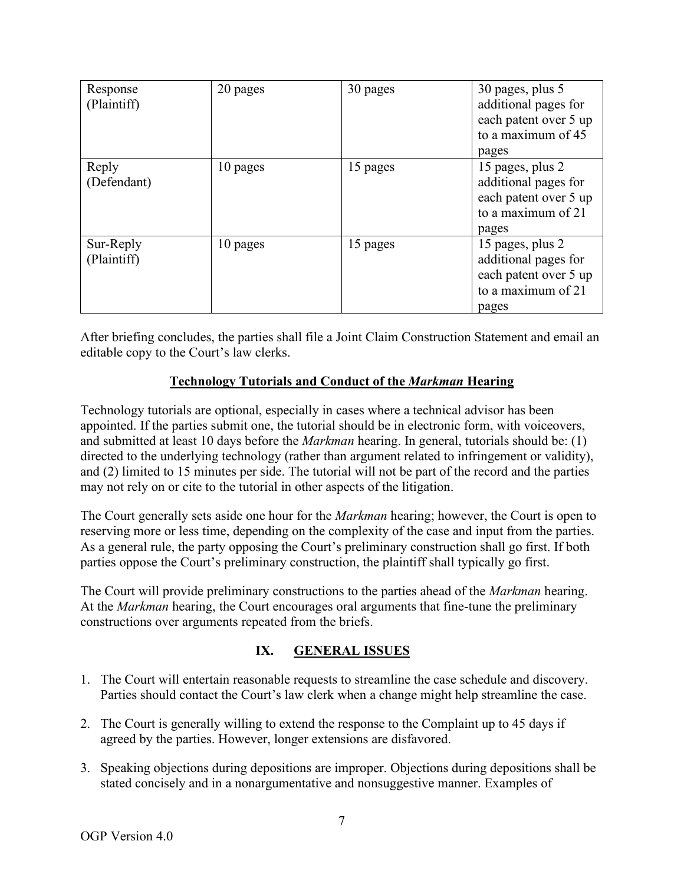| Response<br>(Plaintiff)  | 20 pages | 30 pages | 30 pages, plus 5<br>additional pages for<br>each patent over 5 up<br>to a maximum of 45<br>pages |
|--------------------------|----------|----------|--------------------------------------------------------------------------------------------------|
| Reply<br>(Defendant)     | 10 pages | 15 pages | 15 pages, plus 2<br>additional pages for<br>each patent over 5 up<br>to a maximum of 21<br>pages |
| Sur-Reply<br>(Plaintiff) | 10 pages | 15 pages | 15 pages, plus 2<br>additional pages for<br>each patent over 5 up<br>to a maximum of 21<br>pages |

After briefing concludes, the parties shall file a Joint Claim Construction Statement and email an editable copy to the Court's law clerks.

### **Technology Tutorials and Conduct of the** *Markman* **Hearing**

Technology tutorials are optional, especially in cases where a technical advisor has been appointed. If the parties submit one, the tutorial should be in electronic form, with voiceovers, and submitted at least 10 days before the *Markman* hearing. In general, tutorials should be: (1) directed to the underlying technology (rather than argument related to infringement or validity), and (2) limited to 15 minutes per side. The tutorial will not be part of the record and the parties may not rely on or cite to the tutorial in other aspects of the litigation.

The Court generally sets aside one hour for the *Markman* hearing; however, the Court is open to reserving more or less time, depending on the complexity of the case and input from the parties. As a general rule, the party opposing the Court's preliminary construction shall go first. If both parties oppose the Court's preliminary construction, the plaintiff shall typically go first.

The Court will provide preliminary constructions to the parties ahead of the *Markman* hearing. At the *Markman* hearing, the Court encourages oral arguments that fine-tune the preliminary constructions over arguments repeated from the briefs.

## **IX. GENERAL ISSUES**

- 1. The Court will entertain reasonable requests to streamline the case schedule and discovery. Parties should contact the Court's law clerk when a change might help streamline the case.
- 2. The Court is generally willing to extend the response to the Complaint up to 45 days if agreed by the parties. However, longer extensions are disfavored.
- 3. Speaking objections during depositions are improper. Objections during depositions shall be stated concisely and in a nonargumentative and nonsuggestive manner. Examples of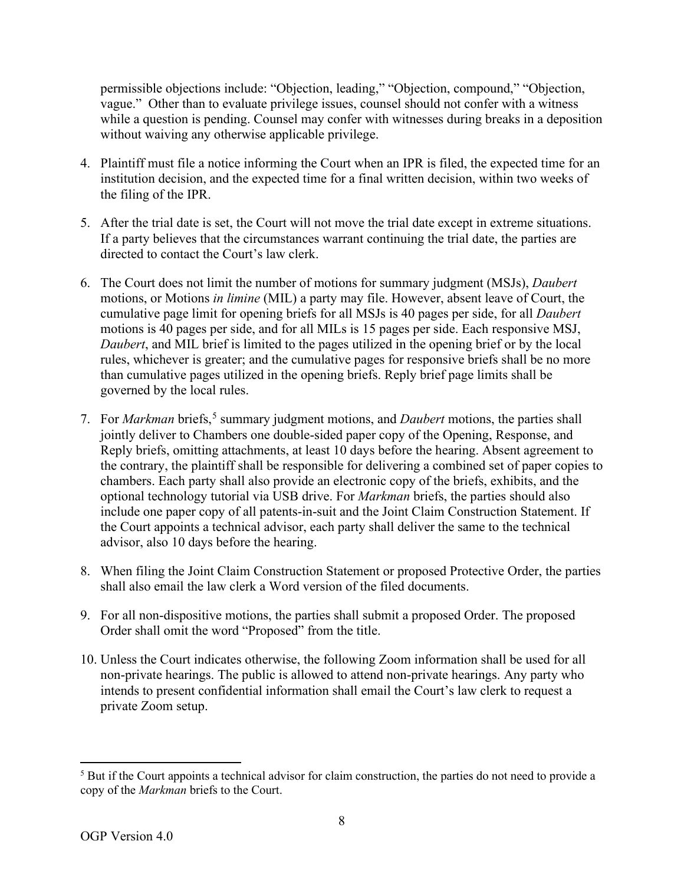permissible objections include: "Objection, leading," "Objection, compound," "Objection, vague." Other than to evaluate privilege issues, counsel should not confer with a witness while a question is pending. Counsel may confer with witnesses during breaks in a deposition without waiving any otherwise applicable privilege.

- 4. Plaintiff must file a notice informing the Court when an IPR is filed, the expected time for an institution decision, and the expected time for a final written decision, within two weeks of the filing of the IPR.
- 5. After the trial date is set, the Court will not move the trial date except in extreme situations. If a party believes that the circumstances warrant continuing the trial date, the parties are directed to contact the Court's law clerk.
- 6. The Court does not limit the number of motions for summary judgment (MSJs), *Daubert* motions, or Motions *in limine* (MIL) a party may file. However, absent leave of Court, the cumulative page limit for opening briefs for all MSJs is 40 pages per side, for all *Daubert*  motions is 40 pages per side, and for all MILs is 15 pages per side. Each responsive MSJ, *Daubert*, and MIL brief is limited to the pages utilized in the opening brief or by the local rules, whichever is greater; and the cumulative pages for responsive briefs shall be no more than cumulative pages utilized in the opening briefs. Reply brief page limits shall be governed by the local rules.
- 7. For *Markman* briefs,<sup>5</sup> summary judgment motions, and *Daubert* motions, the parties shall jointly deliver to Chambers one double-sided paper copy of the Opening, Response, and Reply briefs, omitting attachments, at least 10 days before the hearing. Absent agreement to the contrary, the plaintiff shall be responsible for delivering a combined set of paper copies to chambers. Each party shall also provide an electronic copy of the briefs, exhibits, and the optional technology tutorial via USB drive. For *Markman* briefs, the parties should also include one paper copy of all patents-in-suit and the Joint Claim Construction Statement. If the Court appoints a technical advisor, each party shall deliver the same to the technical advisor, also 10 days before the hearing.
- 8. When filing the Joint Claim Construction Statement or proposed Protective Order, the parties shall also email the law clerk a Word version of the filed documents.
- 9. For all non-dispositive motions, the parties shall submit a proposed Order. The proposed Order shall omit the word "Proposed" from the title.
- 10. Unless the Court indicates otherwise, the following Zoom information shall be used for all non-private hearings. The public is allowed to attend non-private hearings. Any party who intends to present confidential information shall email the Court's law clerk to request a private Zoom setup.

<sup>&</sup>lt;sup>5</sup> But if the Court appoints a technical advisor for claim construction, the parties do not need to provide a copy of the *Markman* briefs to the Court.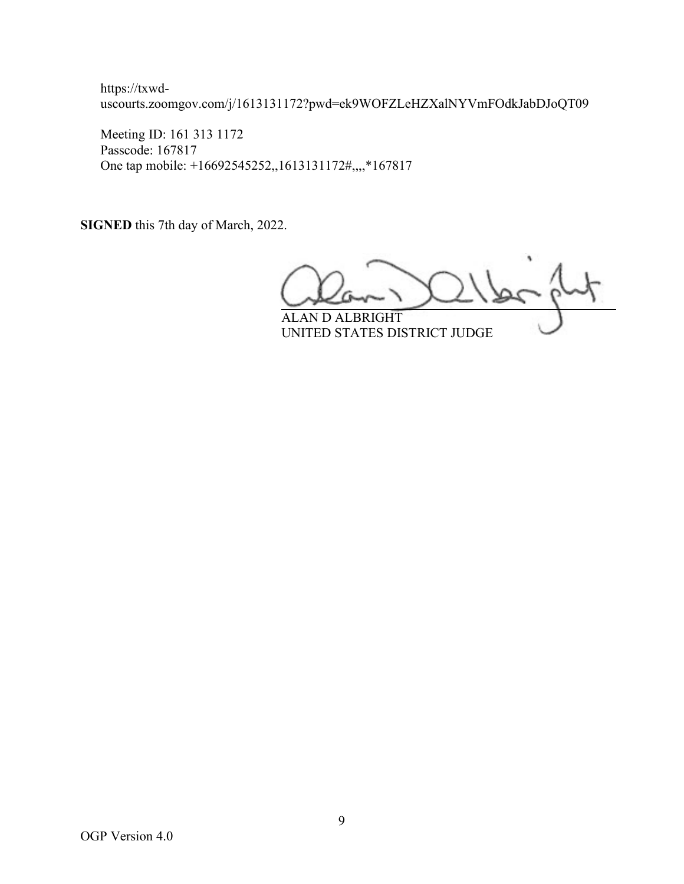https://txwduscourts.zoomgov.com/j/1613131172?pwd=ek9WOFZLeHZXalNYVmFOdkJabDJoQT09

Meeting ID: 161 313 1172 Passcode: 167817 One tap mobile: +16692545252,,1613131172#,,,,\*167817

**SIGNED** this 7th day of March, 2022.

ALAN D ALBRIGHT

UNITED STATES DISTRICT JUDGE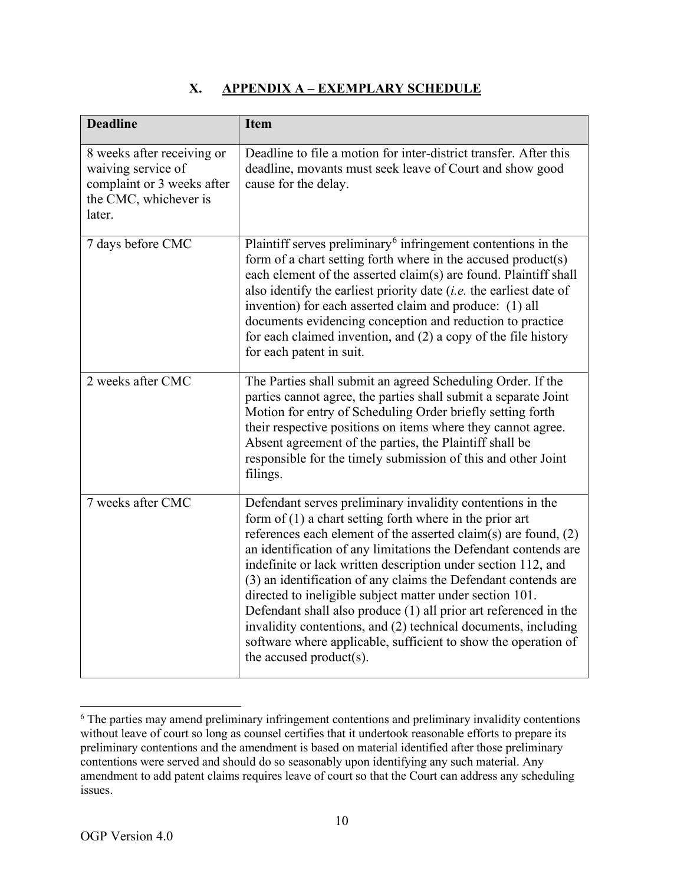## **X. APPENDIX A – EXEMPLARY SCHEDULE**

| <b>Deadline</b>                                                                                                   | <b>Item</b>                                                                                                                                                                                                                                                                                                                                                                                                                                                                                                                                                                                                                                                                                          |
|-------------------------------------------------------------------------------------------------------------------|------------------------------------------------------------------------------------------------------------------------------------------------------------------------------------------------------------------------------------------------------------------------------------------------------------------------------------------------------------------------------------------------------------------------------------------------------------------------------------------------------------------------------------------------------------------------------------------------------------------------------------------------------------------------------------------------------|
| 8 weeks after receiving or<br>waiving service of<br>complaint or 3 weeks after<br>the CMC, whichever is<br>later. | Deadline to file a motion for inter-district transfer. After this<br>deadline, movants must seek leave of Court and show good<br>cause for the delay.                                                                                                                                                                                                                                                                                                                                                                                                                                                                                                                                                |
| 7 days before CMC                                                                                                 | Plaintiff serves preliminary $6$ infringement contentions in the<br>form of a chart setting forth where in the accused product(s)<br>each element of the asserted claim(s) are found. Plaintiff shall<br>also identify the earliest priority date $(i.e.$ the earliest date of<br>invention) for each asserted claim and produce: (1) all<br>documents evidencing conception and reduction to practice<br>for each claimed invention, and $(2)$ a copy of the file history<br>for each patent in suit.                                                                                                                                                                                               |
| 2 weeks after CMC                                                                                                 | The Parties shall submit an agreed Scheduling Order. If the<br>parties cannot agree, the parties shall submit a separate Joint<br>Motion for entry of Scheduling Order briefly setting forth<br>their respective positions on items where they cannot agree.<br>Absent agreement of the parties, the Plaintiff shall be<br>responsible for the timely submission of this and other Joint<br>filings.                                                                                                                                                                                                                                                                                                 |
| 7 weeks after CMC                                                                                                 | Defendant serves preliminary invalidity contentions in the<br>form of $(1)$ a chart setting forth where in the prior art<br>references each element of the asserted claim(s) are found, $(2)$<br>an identification of any limitations the Defendant contends are<br>indefinite or lack written description under section 112, and<br>(3) an identification of any claims the Defendant contends are<br>directed to ineligible subject matter under section 101.<br>Defendant shall also produce $(1)$ all prior art referenced in the<br>invalidity contentions, and (2) technical documents, including<br>software where applicable, sufficient to show the operation of<br>the accused product(s). |

<sup>&</sup>lt;sup>6</sup> The parties may amend preliminary infringement contentions and preliminary invalidity contentions without leave of court so long as counsel certifies that it undertook reasonable efforts to prepare its preliminary contentions and the amendment is based on material identified after those preliminary contentions were served and should do so seasonably upon identifying any such material. Any amendment to add patent claims requires leave of court so that the Court can address any scheduling issues.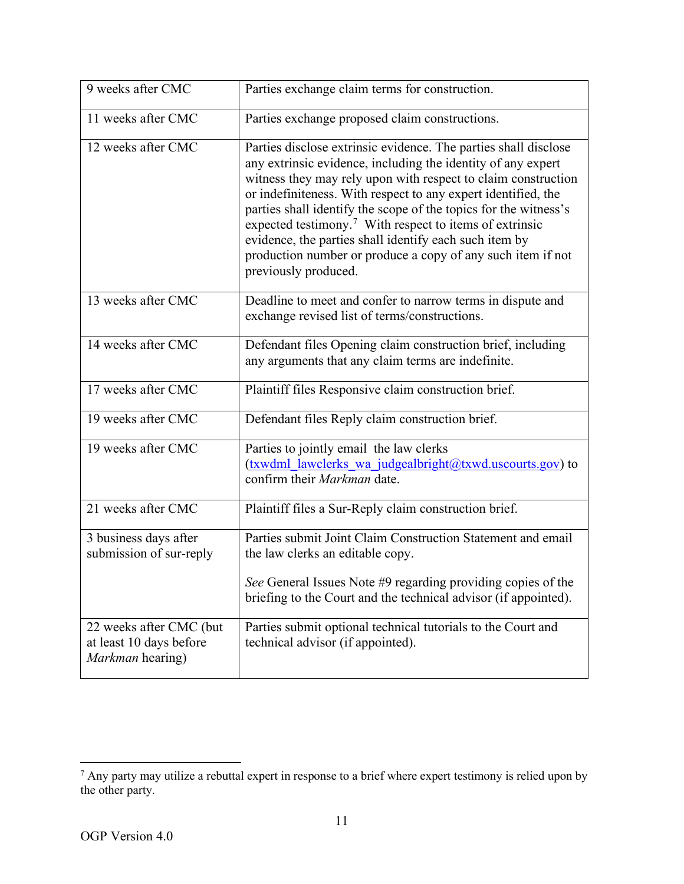| 9 weeks after CMC                                                      | Parties exchange claim terms for construction.                                                                                                                                                                                                                                                                                                                                                                                                                                                                                                                |
|------------------------------------------------------------------------|---------------------------------------------------------------------------------------------------------------------------------------------------------------------------------------------------------------------------------------------------------------------------------------------------------------------------------------------------------------------------------------------------------------------------------------------------------------------------------------------------------------------------------------------------------------|
| 11 weeks after CMC                                                     | Parties exchange proposed claim constructions.                                                                                                                                                                                                                                                                                                                                                                                                                                                                                                                |
| 12 weeks after CMC                                                     | Parties disclose extrinsic evidence. The parties shall disclose<br>any extrinsic evidence, including the identity of any expert<br>witness they may rely upon with respect to claim construction<br>or indefiniteness. With respect to any expert identified, the<br>parties shall identify the scope of the topics for the witness's<br>expected testimony. <sup>7</sup> With respect to items of extrinsic<br>evidence, the parties shall identify each such item by<br>production number or produce a copy of any such item if not<br>previously produced. |
| 13 weeks after CMC                                                     | Deadline to meet and confer to narrow terms in dispute and<br>exchange revised list of terms/constructions.                                                                                                                                                                                                                                                                                                                                                                                                                                                   |
| 14 weeks after CMC                                                     | Defendant files Opening claim construction brief, including<br>any arguments that any claim terms are indefinite.                                                                                                                                                                                                                                                                                                                                                                                                                                             |
| 17 weeks after CMC                                                     | Plaintiff files Responsive claim construction brief.                                                                                                                                                                                                                                                                                                                                                                                                                                                                                                          |
| 19 weeks after CMC                                                     | Defendant files Reply claim construction brief.                                                                                                                                                                                                                                                                                                                                                                                                                                                                                                               |
| 19 weeks after CMC                                                     | Parties to jointly email the law clerks<br>(txwdml_lawclerks_wa_judgealbright@txwd.uscourts.gov) to<br>confirm their Markman date.                                                                                                                                                                                                                                                                                                                                                                                                                            |
| 21 weeks after CMC                                                     | Plaintiff files a Sur-Reply claim construction brief.                                                                                                                                                                                                                                                                                                                                                                                                                                                                                                         |
| 3 business days after<br>submission of sur-reply                       | Parties submit Joint Claim Construction Statement and email<br>the law clerks an editable copy.<br>See General Issues Note #9 regarding providing copies of the<br>briefing to the Court and the technical advisor (if appointed).                                                                                                                                                                                                                                                                                                                            |
| 22 weeks after CMC (but<br>at least 10 days before<br>Markman hearing) | Parties submit optional technical tutorials to the Court and<br>technical advisor (if appointed).                                                                                                                                                                                                                                                                                                                                                                                                                                                             |

 $<sup>7</sup>$  Any party may utilize a rebuttal expert in response to a brief where expert testimony is relied upon by</sup> the other party.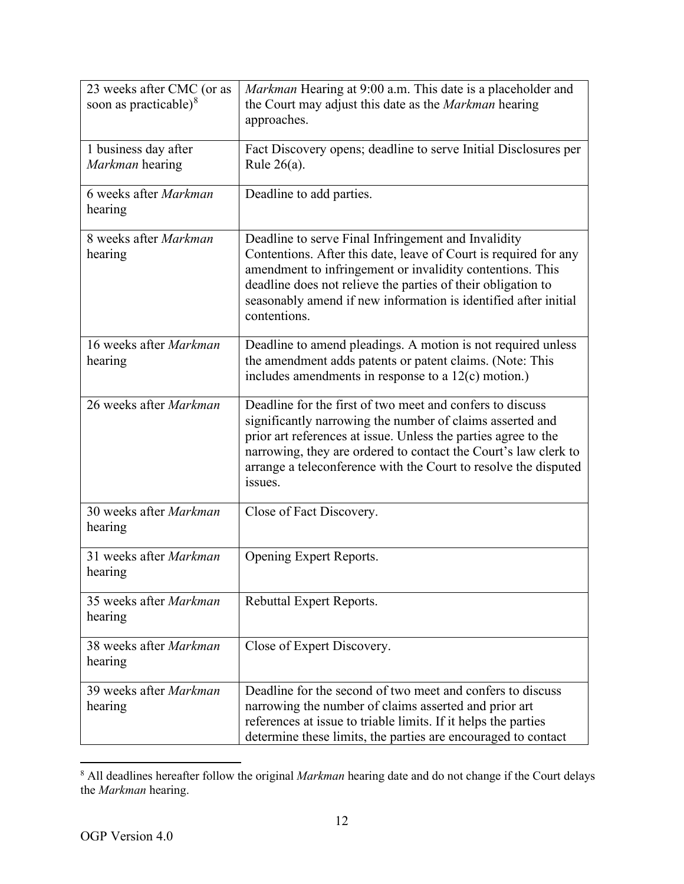| 23 weeks after CMC (or as<br>soon as practicable) $8$ | <i>Markman</i> Hearing at 9:00 a.m. This date is a placeholder and<br>the Court may adjust this date as the Markman hearing<br>approaches.                                                                                                                                                                                                |
|-------------------------------------------------------|-------------------------------------------------------------------------------------------------------------------------------------------------------------------------------------------------------------------------------------------------------------------------------------------------------------------------------------------|
| 1 business day after<br>Markman hearing               | Fact Discovery opens; deadline to serve Initial Disclosures per<br>Rule $26(a)$ .                                                                                                                                                                                                                                                         |
| 6 weeks after Markman<br>hearing                      | Deadline to add parties.                                                                                                                                                                                                                                                                                                                  |
| 8 weeks after Markman<br>hearing                      | Deadline to serve Final Infringement and Invalidity<br>Contentions. After this date, leave of Court is required for any<br>amendment to infringement or invalidity contentions. This<br>deadline does not relieve the parties of their obligation to<br>seasonably amend if new information is identified after initial<br>contentions.   |
| 16 weeks after Markman<br>hearing                     | Deadline to amend pleadings. A motion is not required unless<br>the amendment adds patents or patent claims. (Note: This<br>includes amendments in response to a $12(c)$ motion.)                                                                                                                                                         |
| 26 weeks after Markman                                | Deadline for the first of two meet and confers to discuss<br>significantly narrowing the number of claims asserted and<br>prior art references at issue. Unless the parties agree to the<br>narrowing, they are ordered to contact the Court's law clerk to<br>arrange a teleconference with the Court to resolve the disputed<br>issues. |
| 30 weeks after Markman<br>hearing                     | Close of Fact Discovery.                                                                                                                                                                                                                                                                                                                  |
| 31 weeks after Markman<br>hearing                     | Opening Expert Reports.                                                                                                                                                                                                                                                                                                                   |
| 35 weeks after Markman<br>hearing                     | Rebuttal Expert Reports.                                                                                                                                                                                                                                                                                                                  |
| 38 weeks after Markman<br>hearing                     | Close of Expert Discovery.                                                                                                                                                                                                                                                                                                                |
| 39 weeks after Markman<br>hearing                     | Deadline for the second of two meet and confers to discuss<br>narrowing the number of claims asserted and prior art<br>references at issue to triable limits. If it helps the parties<br>determine these limits, the parties are encouraged to contact                                                                                    |

<sup>8</sup> All deadlines hereafter follow the original *Markman* hearing date and do not change if the Court delays the *Markman* hearing.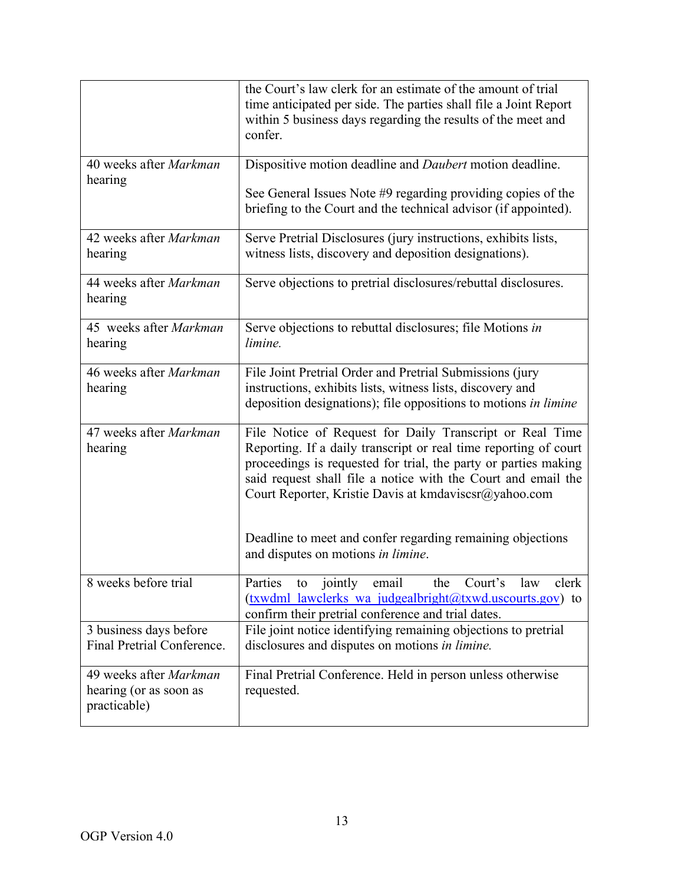|                                                                  | the Court's law clerk for an estimate of the amount of trial<br>time anticipated per side. The parties shall file a Joint Report<br>within 5 business days regarding the results of the meet and<br>confer.                                                                                                                                                                                                                   |
|------------------------------------------------------------------|-------------------------------------------------------------------------------------------------------------------------------------------------------------------------------------------------------------------------------------------------------------------------------------------------------------------------------------------------------------------------------------------------------------------------------|
| 40 weeks after Markman<br>hearing                                | Dispositive motion deadline and Daubert motion deadline.<br>See General Issues Note #9 regarding providing copies of the<br>briefing to the Court and the technical advisor (if appointed).                                                                                                                                                                                                                                   |
| 42 weeks after Markman<br>hearing                                | Serve Pretrial Disclosures (jury instructions, exhibits lists,<br>witness lists, discovery and deposition designations).                                                                                                                                                                                                                                                                                                      |
| 44 weeks after Markman<br>hearing                                | Serve objections to pretrial disclosures/rebuttal disclosures.                                                                                                                                                                                                                                                                                                                                                                |
| 45 weeks after Markman<br>hearing                                | Serve objections to rebuttal disclosures; file Motions in<br>limine.                                                                                                                                                                                                                                                                                                                                                          |
| 46 weeks after Markman<br>hearing                                | File Joint Pretrial Order and Pretrial Submissions (jury<br>instructions, exhibits lists, witness lists, discovery and<br>deposition designations); file oppositions to motions in limine                                                                                                                                                                                                                                     |
| 47 weeks after Markman<br>hearing                                | File Notice of Request for Daily Transcript or Real Time<br>Reporting. If a daily transcript or real time reporting of court<br>proceedings is requested for trial, the party or parties making<br>said request shall file a notice with the Court and email the<br>Court Reporter, Kristie Davis at kmdaviscsr@yahoo.com<br>Deadline to meet and confer regarding remaining objections<br>and disputes on motions in limine. |
| 8 weeks before trial                                             | to jointly email<br>Parties<br>law<br>Court's<br>the<br>clerk<br>(txwdml lawclerks wa judgealbright@txwd.uscourts.gov) to<br>confirm their pretrial conference and trial dates.                                                                                                                                                                                                                                               |
| 3 business days before<br>Final Pretrial Conference.             | File joint notice identifying remaining objections to pretrial<br>disclosures and disputes on motions in limine.                                                                                                                                                                                                                                                                                                              |
| 49 weeks after Markman<br>hearing (or as soon as<br>practicable) | Final Pretrial Conference. Held in person unless otherwise<br>requested.                                                                                                                                                                                                                                                                                                                                                      |